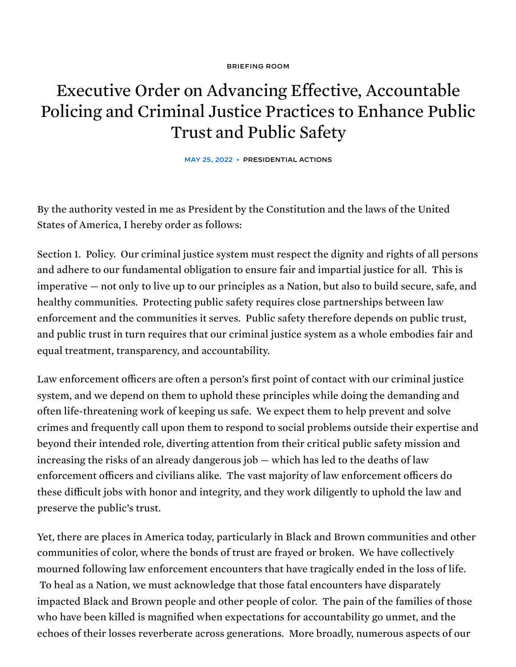[BRIEFING ROOM](https://www.whitehouse.gov/briefing-room/)

## Executive Order on Advancing Effective, Accountable Policing and Criminal Justice Practices to Enhance Public Trust and Public Safety

MAY 25, 2022 • [PRESIDENTIAL ACTIONS](https://www.whitehouse.gov/briefing-room/presidential-actions/)

By the authority vested in me as President by the Constitution and the laws of the United States of America, I hereby order as follows:

Section 1. Policy. Our criminal justice system must respect the dignity and rights of all persons and adhere to our fundamental obligation to ensure fair and impartial justice for all. This is imperative — not only to live up to our principles as a Nation, but also to build secure, safe, and healthy communities. Protecting public safety requires close partnerships between law enforcement and the communities it serves. Public safety therefore depends on public trust, and public trust in turn requires that our criminal justice system as a whole embodies fair and equal treatment, transparency, and accountability.

Law enforcement officers are often a person's first point of contact with our criminal justice system, and we depend on them to uphold these principles while doing the demanding and often life-threatening work of keeping us safe. We expect them to help prevent and solve crimes and frequently call upon them to respond to social problems outside their expertise and beyond their intended role, diverting attention from their critical public safety mission and increasing the risks of an already dangerous job — which has led to the deaths of law enforcement officers and civilians alike. The vast majority of law enforcement officers do these difficult jobs with honor and integrity, and they work diligently to uphold the law and preserve the public's trust.

Yet, there are places in America today, particularly in Black and Brown communities and other communities of color, where the bonds of trust are frayed or broken. We have collectively mourned following law enforcement encounters that have tragically ended in the loss of life. To heal as a Nation, we must acknowledge that those fatal encounters have disparately impacted Black and Brown people and other people of color. The pain of the families of those who have been killed is magnified when expectations for accountability go unmet, and the echoes of their losses reverberate across generations. More broadly, numerous aspects of our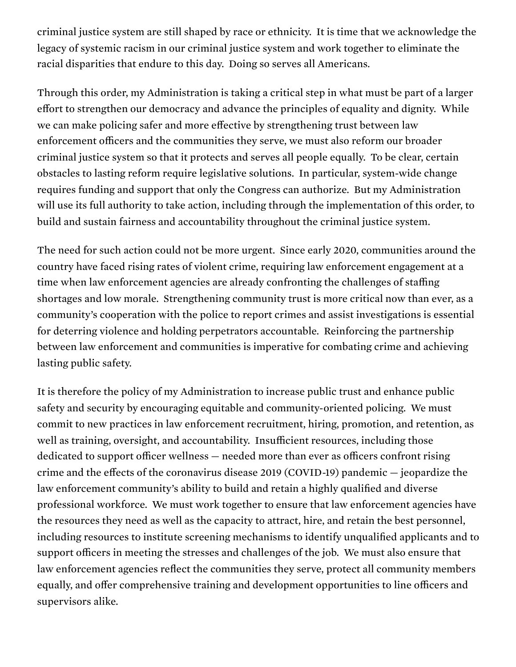criminal justice system are still shaped by race or ethnicity. It is time that we acknowledge the legacy of systemic racism in our criminal justice system and work together to eliminate the racial disparities that endure to this day. Doing so serves all Americans.

Through this order, my Administration is taking a critical step in what must be part of a larger effort to strengthen our democracy and advance the principles of equality and dignity. While we can make policing safer and more effective by strengthening trust between law enforcement officers and the communities they serve, we must also reform our broader criminal justice system so that it protects and serves all people equally. To be clear, certain obstacles to lasting reform require legislative solutions. In particular, system-wide change requires funding and support that only the Congress can authorize. But my Administration will use its full authority to take action, including through the implementation of this order, to build and sustain fairness and accountability throughout the criminal justice system.

The need for such action could not be more urgent. Since early 2020, communities around the country have faced rising rates of violent crime, requiring law enforcement engagement at a time when law enforcement agencies are already confronting the challenges of staffing shortages and low morale. Strengthening community trust is more critical now than ever, as a community's cooperation with the police to report crimes and assist investigations is essential for deterring violence and holding perpetrators accountable. Reinforcing the partnership between law enforcement and communities is imperative for combating crime and achieving lasting public safety.

It is therefore the policy of my Administration to increase public trust and enhance public safety and security by encouraging equitable and community-oriented policing. We must commit to new practices in law enforcement recruitment, hiring, promotion, and retention, as well as training, oversight, and accountability. Insufficient resources, including those dedicated to support officer wellness — needed more than ever as officers confront rising crime and the effects of the coronavirus disease 2019 (COVID-19) pandemic — jeopardize the law enforcement community's ability to build and retain a highly qualified and diverse professional workforce. We must work together to ensure that law enforcement agencies have the resources they need as well as the capacity to attract, hire, and retain the best personnel, including resources to institute screening mechanisms to identify unqualified applicants and to support officers in meeting the stresses and challenges of the job. We must also ensure that law enforcement agencies reflect the communities they serve, protect all community members equally, and offer comprehensive training and development opportunities to line officers and supervisors alike.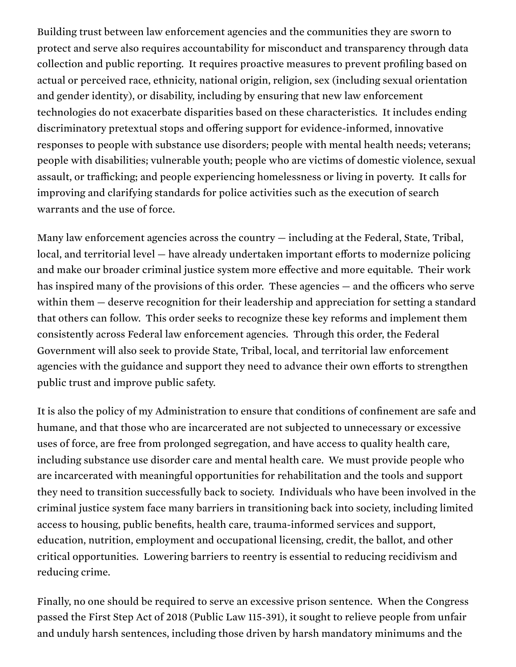Building trust between law enforcement agencies and the communities they are sworn to protect and serve also requires accountability for misconduct and transparency through data collection and public reporting. It requires proactive measures to prevent profiling based on actual or perceived race, ethnicity, national origin, religion, sex (including sexual orientation and gender identity), or disability, including by ensuring that new law enforcement technologies do not exacerbate disparities based on these characteristics. It includes ending discriminatory pretextual stops and offering support for evidence-informed, innovative responses to people with substance use disorders; people with mental health needs; veterans; people with disabilities; vulnerable youth; people who are victims of domestic violence, sexual assault, or trafficking; and people experiencing homelessness or living in poverty. It calls for improving and clarifying standards for police activities such as the execution of search warrants and the use of force.

Many law enforcement agencies across the country — including at the Federal, State, Tribal, local, and territorial level — have already undertaken important efforts to modernize policing and make our broader criminal justice system more effective and more equitable. Their work has inspired many of the provisions of this order. These agencies — and the officers who serve within them — deserve recognition for their leadership and appreciation for setting a standard that others can follow. This order seeks to recognize these key reforms and implement them consistently across Federal law enforcement agencies. Through this order, the Federal Government will also seek to provide State, Tribal, local, and territorial law enforcement agencies with the guidance and support they need to advance their own efforts to strengthen public trust and improve public safety.

It is also the policy of my Administration to ensure that conditions of confinement are safe and humane, and that those who are incarcerated are not subjected to unnecessary or excessive uses of force, are free from prolonged segregation, and have access to quality health care, including substance use disorder care and mental health care. We must provide people who are incarcerated with meaningful opportunities for rehabilitation and the tools and support they need to transition successfully back to society. Individuals who have been involved in the criminal justice system face many barriers in transitioning back into society, including limited access to housing, public benefits, health care, trauma-informed services and support, education, nutrition, employment and occupational licensing, credit, the ballot, and other critical opportunities. Lowering barriers to reentry is essential to reducing recidivism and reducing crime.

Finally, no one should be required to serve an excessive prison sentence. When the Congress passed the First Step Act of 2018 (Public Law 115-391), it sought to relieve people from unfair and unduly harsh sentences, including those driven by harsh mandatory minimums and the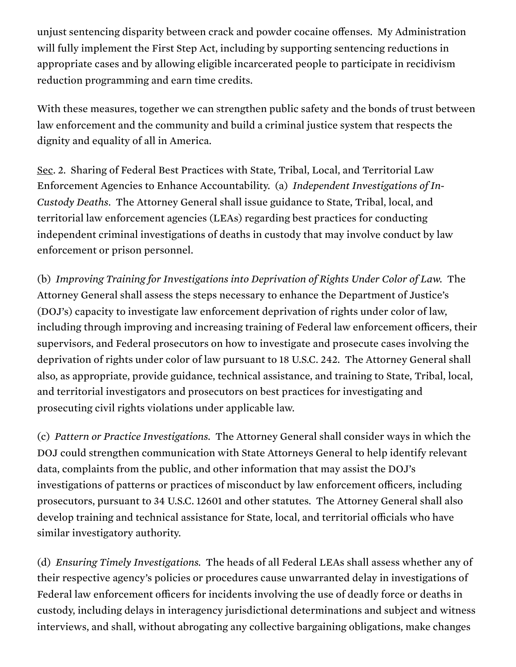unjust sentencing disparity between crack and powder cocaine offenses. My Administration will fully implement the First Step Act, including by supporting sentencing reductions in appropriate cases and by allowing eligible incarcerated people to participate in recidivism reduction programming and earn time credits.

With these measures, together we can strengthen public safety and the bonds of trust between law enforcement and the community and build a criminal justice system that respects the dignity and equality of all in America.

Sec. 2. Sharing of Federal Best Practices with State, Tribal, Local, and Territorial Law Enforcement Agencies to Enhance Accountability. (a) *Independent Investigations of In-Custody Deaths*. The Attorney General shall issue guidance to State, Tribal, local, and territorial law enforcement agencies (LEAs) regarding best practices for conducting independent criminal investigations of deaths in custody that may involve conduct by law enforcement or prison personnel.

(b) *Improving Training for Investigations into Deprivation of Rights Under Color of Law.* The Attorney General shall assess the steps necessary to enhance the Department of Justice's (DOJ's) capacity to investigate law enforcement deprivation of rights under color of law, including through improving and increasing training of Federal law enforcement officers, their supervisors, and Federal prosecutors on how to investigate and prosecute cases involving the deprivation of rights under color of law pursuant to 18 U.S.C. 242. The Attorney General shall also, as appropriate, provide guidance, technical assistance, and training to State, Tribal, local, and territorial investigators and prosecutors on best practices for investigating and prosecuting civil rights violations under applicable law.

(c) *Pattern or Practice Investigations.* The Attorney General shall consider ways in which the DOJ could strengthen communication with State Attorneys General to help identify relevant data, complaints from the public, and other information that may assist the DOJ's investigations of patterns or practices of misconduct by law enforcement officers, including prosecutors, pursuant to 34 U.S.C. 12601 and other statutes. The Attorney General shall also develop training and technical assistance for State, local, and territorial officials who have similar investigatory authority.

(d) *Ensuring Timely Investigations.* The heads of all Federal LEAs shall assess whether any of their respective agency's policies or procedures cause unwarranted delay in investigations of Federal law enforcement officers for incidents involving the use of deadly force or deaths in custody, including delays in interagency jurisdictional determinations and subject and witness interviews, and shall, without abrogating any collective bargaining obligations, make changes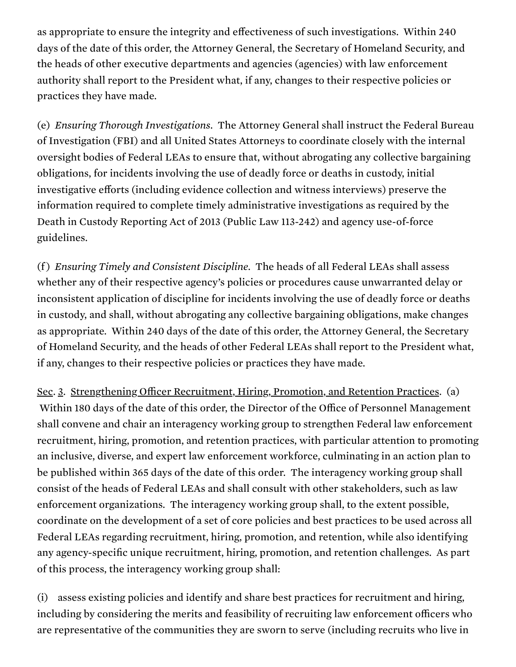as appropriate to ensure the integrity and effectiveness of such investigations. Within 240 days of the date of this order, the Attorney General, the Secretary of Homeland Security, and the heads of other executive departments and agencies (agencies) with law enforcement authority shall report to the President what, if any, changes to their respective policies or practices they have made.

(e) *Ensuring Thorough Investigations*. The Attorney General shall instruct the Federal Bureau of Investigation (FBI) and all United States Attorneys to coordinate closely with the internal oversight bodies of Federal LEAs to ensure that, without abrogating any collective bargaining obligations, for incidents involving the use of deadly force or deaths in custody, initial investigative efforts (including evidence collection and witness interviews) preserve the information required to complete timely administrative investigations as required by the Death in Custody Reporting Act of 2013 (Public Law 113-242) and agency use-of-force guidelines.

(f ) *Ensuring Timely and Consistent Discipline.* The heads of all Federal LEAs shall assess whether any of their respective agency's policies or procedures cause unwarranted delay or inconsistent application of discipline for incidents involving the use of deadly force or deaths in custody, and shall, without abrogating any collective bargaining obligations, make changes as appropriate. Within 240 days of the date of this order, the Attorney General, the Secretary of Homeland Security, and the heads of other Federal LEAs shall report to the President what, if any, changes to their respective policies or practices they have made.

Sec. 3. Strengthening Officer Recruitment, Hiring, Promotion, and Retention Practices. (a) Within 180 days of the date of this order, the Director of the Office of Personnel Management shall convene and chair an interagency working group to strengthen Federal law enforcement recruitment, hiring, promotion, and retention practices, with particular attention to promoting an inclusive, diverse, and expert law enforcement workforce, culminating in an action plan to be published within 365 days of the date of this order. The interagency working group shall consist of the heads of Federal LEAs and shall consult with other stakeholders, such as law enforcement organizations. The interagency working group shall, to the extent possible, coordinate on the development of a set of core policies and best practices to be used across all Federal LEAs regarding recruitment, hiring, promotion, and retention, while also identifying any agency-specific unique recruitment, hiring, promotion, and retention challenges. As part of this process, the interagency working group shall:

(i) assess existing policies and identify and share best practices for recruitment and hiring, including by considering the merits and feasibility of recruiting law enforcement officers who are representative of the communities they are sworn to serve (including recruits who live in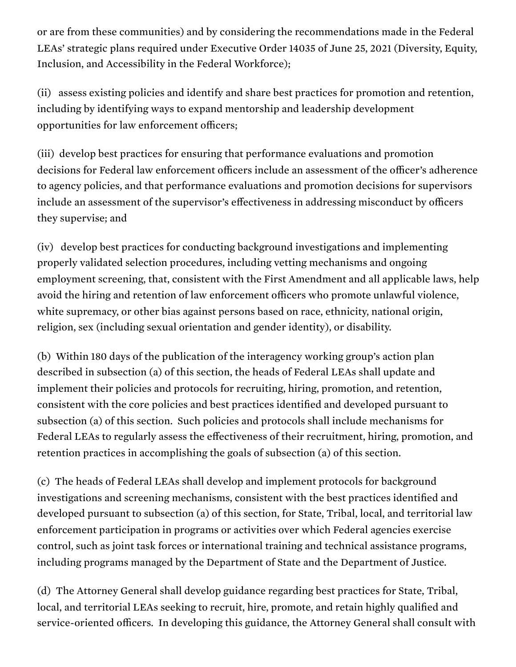or are from these communities) and by considering the recommendations made in the Federal LEAs' strategic plans required under Executive Order 14035 of June 25, 2021 (Diversity, Equity, Inclusion, and Accessibility in the Federal Workforce);

(ii) assess existing policies and identify and share best practices for promotion and retention, including by identifying ways to expand mentorship and leadership development opportunities for law enforcement officers;

(iii) develop best practices for ensuring that performance evaluations and promotion decisions for Federal law enforcement officers include an assessment of the officer's adherence to agency policies, and that performance evaluations and promotion decisions for supervisors include an assessment of the supervisor's effectiveness in addressing misconduct by officers they supervise; and

(iv) develop best practices for conducting background investigations and implementing properly validated selection procedures, including vetting mechanisms and ongoing employment screening, that, consistent with the First Amendment and all applicable laws, help avoid the hiring and retention of law enforcement officers who promote unlawful violence, white supremacy, or other bias against persons based on race, ethnicity, national origin, religion, sex (including sexual orientation and gender identity), or disability.

(b) Within 180 days of the publication of the interagency working group's action plan described in subsection (a) of this section, the heads of Federal LEAs shall update and implement their policies and protocols for recruiting, hiring, promotion, and retention, consistent with the core policies and best practices identified and developed pursuant to subsection (a) of this section. Such policies and protocols shall include mechanisms for Federal LEAs to regularly assess the effectiveness of their recruitment, hiring, promotion, and retention practices in accomplishing the goals of subsection (a) of this section.

(c) The heads of Federal LEAs shall develop and implement protocols for background investigations and screening mechanisms, consistent with the best practices identified and developed pursuant to subsection (a) of this section, for State, Tribal, local, and territorial law enforcement participation in programs or activities over which Federal agencies exercise control, such as joint task forces or international training and technical assistance programs, including programs managed by the Department of State and the Department of Justice.

(d) The Attorney General shall develop guidance regarding best practices for State, Tribal, local, and territorial LEAs seeking to recruit, hire, promote, and retain highly qualified and service-oriented officers. In developing this guidance, the Attorney General shall consult with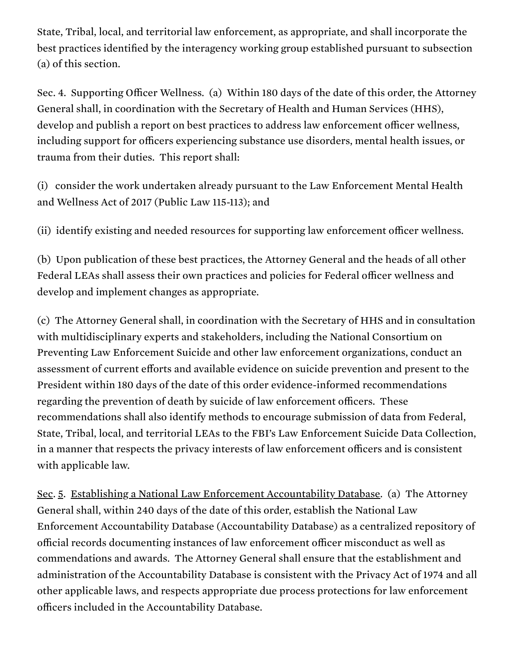State, Tribal, local, and territorial law enforcement, as appropriate, and shall incorporate the best practices identified by the interagency working group established pursuant to subsection (a) of this section.

Sec. 4. Supporting Officer Wellness. (a) Within 180 days of the date of this order, the Attorney General shall, in coordination with the Secretary of Health and Human Services (HHS), develop and publish a report on best practices to address law enforcement officer wellness, including support for officers experiencing substance use disorders, mental health issues, or trauma from their duties. This report shall:

(i) consider the work undertaken already pursuant to the Law Enforcement Mental Health and Wellness Act of 2017 (Public Law 115-113); and

(ii) identify existing and needed resources for supporting law enforcement officer wellness.

(b) Upon publication of these best practices, the Attorney General and the heads of all other Federal LEAs shall assess their own practices and policies for Federal officer wellness and develop and implement changes as appropriate.

(c) The Attorney General shall, in coordination with the Secretary of HHS and in consultation with multidisciplinary experts and stakeholders, including the National Consortium on Preventing Law Enforcement Suicide and other law enforcement organizations, conduct an assessment of current efforts and available evidence on suicide prevention and present to the President within 180 days of the date of this order evidence-informed recommendations regarding the prevention of death by suicide of law enforcement officers. These recommendations shall also identify methods to encourage submission of data from Federal, State, Tribal, local, and territorial LEAs to the FBI's Law Enforcement Suicide Data Collection, in a manner that respects the privacy interests of law enforcement officers and is consistent with applicable law.

Sec. 5. Establishing a National Law Enforcement Accountability Database. (a) The Attorney General shall, within 240 days of the date of this order, establish the National Law Enforcement Accountability Database (Accountability Database) as a centralized repository of official records documenting instances of law enforcement officer misconduct as well as commendations and awards. The Attorney General shall ensure that the establishment and administration of the Accountability Database is consistent with the Privacy Act of 1974 and all other applicable laws, and respects appropriate due process protections for law enforcement officers included in the Accountability Database.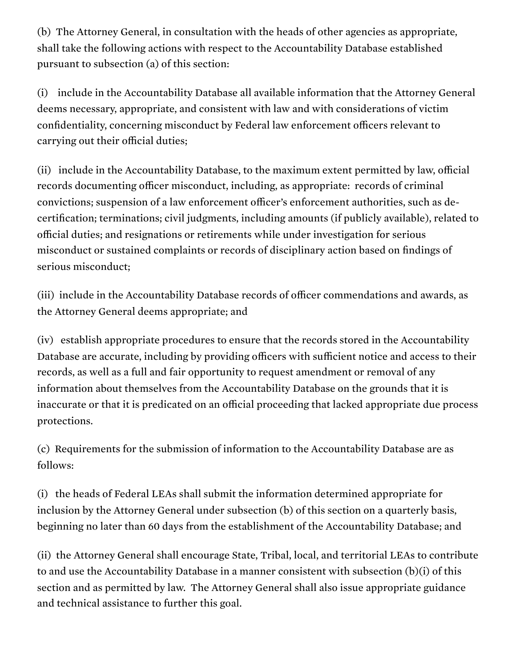(b) The Attorney General, in consultation with the heads of other agencies as appropriate, shall take the following actions with respect to the Accountability Database established pursuant to subsection (a) of this section:

(i) include in the Accountability Database all available information that the Attorney General deems necessary, appropriate, and consistent with law and with considerations of victim confidentiality, concerning misconduct by Federal law enforcement officers relevant to carrying out their official duties;

(ii) include in the Accountability Database, to the maximum extent permitted by law, official records documenting officer misconduct, including, as appropriate: records of criminal convictions; suspension of a law enforcement officer's enforcement authorities, such as decertification; terminations; civil judgments, including amounts (if publicly available), related to official duties; and resignations or retirements while under investigation for serious misconduct or sustained complaints or records of disciplinary action based on findings of serious misconduct;

(iii) include in the Accountability Database records of officer commendations and awards, as the Attorney General deems appropriate; and

(iv) establish appropriate procedures to ensure that the records stored in the Accountability Database are accurate, including by providing officers with sufficient notice and access to their records, as well as a full and fair opportunity to request amendment or removal of any information about themselves from the Accountability Database on the grounds that it is inaccurate or that it is predicated on an official proceeding that lacked appropriate due process protections.

(c) Requirements for the submission of information to the Accountability Database are as follows:

(i) the heads of Federal LEAs shall submit the information determined appropriate for inclusion by the Attorney General under subsection (b) of this section on a quarterly basis, beginning no later than 60 days from the establishment of the Accountability Database; and

(ii) the Attorney General shall encourage State, Tribal, local, and territorial LEAs to contribute to and use the Accountability Database in a manner consistent with subsection (b)(i) of this section and as permitted by law. The Attorney General shall also issue appropriate guidance and technical assistance to further this goal.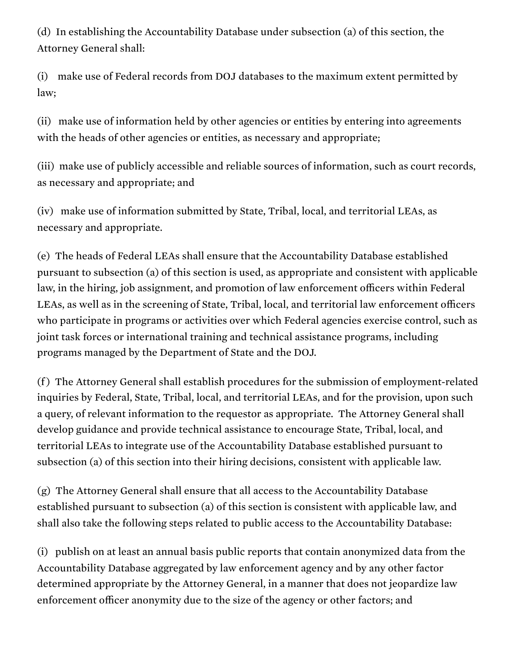(d) In establishing the Accountability Database under subsection (a) of this section, the Attorney General shall:

(i) make use of Federal records from DOJ databases to the maximum extent permitted by law;

(ii) make use of information held by other agencies or entities by entering into agreements with the heads of other agencies or entities, as necessary and appropriate;

(iii) make use of publicly accessible and reliable sources of information, such as court records, as necessary and appropriate; and

(iv) make use of information submitted by State, Tribal, local, and territorial LEAs, as necessary and appropriate.

(e) The heads of Federal LEAs shall ensure that the Accountability Database established pursuant to subsection (a) of this section is used, as appropriate and consistent with applicable law, in the hiring, job assignment, and promotion of law enforcement officers within Federal LEAs, as well as in the screening of State, Tribal, local, and territorial law enforcement officers who participate in programs or activities over which Federal agencies exercise control, such as joint task forces or international training and technical assistance programs, including programs managed by the Department of State and the DOJ.

(f ) The Attorney General shall establish procedures for the submission of employment-related inquiries by Federal, State, Tribal, local, and territorial LEAs, and for the provision, upon such a query, of relevant information to the requestor as appropriate. The Attorney General shall develop guidance and provide technical assistance to encourage State, Tribal, local, and territorial LEAs to integrate use of the Accountability Database established pursuant to subsection (a) of this section into their hiring decisions, consistent with applicable law.

(g) The Attorney General shall ensure that all access to the Accountability Database established pursuant to subsection (a) of this section is consistent with applicable law, and shall also take the following steps related to public access to the Accountability Database:

(i) publish on at least an annual basis public reports that contain anonymized data from the Accountability Database aggregated by law enforcement agency and by any other factor determined appropriate by the Attorney General, in a manner that does not jeopardize law enforcement officer anonymity due to the size of the agency or other factors; and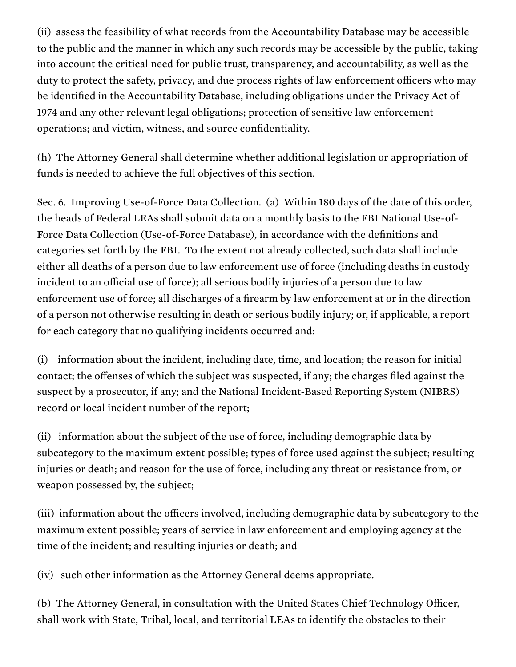(ii) assess the feasibility of what records from the Accountability Database may be accessible to the public and the manner in which any such records may be accessible by the public, taking into account the critical need for public trust, transparency, and accountability, as well as the duty to protect the safety, privacy, and due process rights of law enforcement officers who may be identified in the Accountability Database, including obligations under the Privacy Act of 1974 and any other relevant legal obligations; protection of sensitive law enforcement operations; and victim, witness, and source confidentiality.

(h) The Attorney General shall determine whether additional legislation or appropriation of funds is needed to achieve the full objectives of this section.

Sec. 6. Improving Use-of-Force Data Collection. (a) Within 180 days of the date of this order, the heads of Federal LEAs shall submit data on a monthly basis to the FBI National Use-of-Force Data Collection (Use-of-Force Database), in accordance with the definitions and categories set forth by the FBI. To the extent not already collected, such data shall include either all deaths of a person due to law enforcement use of force (including deaths in custody incident to an official use of force); all serious bodily injuries of a person due to law enforcement use of force; all discharges of a firearm by law enforcement at or in the direction of a person not otherwise resulting in death or serious bodily injury; or, if applicable, a report for each category that no qualifying incidents occurred and:

(i) information about the incident, including date, time, and location; the reason for initial contact; the offenses of which the subject was suspected, if any; the charges filed against the suspect by a prosecutor, if any; and the National Incident-Based Reporting System (NIBRS) record or local incident number of the report;

(ii) information about the subject of the use of force, including demographic data by subcategory to the maximum extent possible; types of force used against the subject; resulting injuries or death; and reason for the use of force, including any threat or resistance from, or weapon possessed by, the subject;

(iii) information about the officers involved, including demographic data by subcategory to the maximum extent possible; years of service in law enforcement and employing agency at the time of the incident; and resulting injuries or death; and

(iv) such other information as the Attorney General deems appropriate.

(b) The Attorney General, in consultation with the United States Chief Technology Officer, shall work with State, Tribal, local, and territorial LEAs to identify the obstacles to their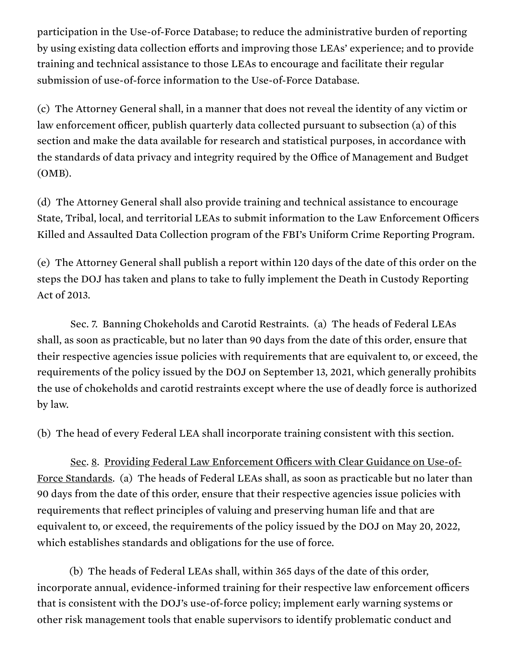participation in the Use-of-Force Database; to reduce the administrative burden of reporting by using existing data collection efforts and improving those LEAs' experience; and to provide training and technical assistance to those LEAs to encourage and facilitate their regular submission of use-of-force information to the Use-of-Force Database.

(c) The Attorney General shall, in a manner that does not reveal the identity of any victim or law enforcement officer, publish quarterly data collected pursuant to subsection (a) of this section and make the data available for research and statistical purposes, in accordance with the standards of data privacy and integrity required by the Office of Management and Budget (OMB).

(d) The Attorney General shall also provide training and technical assistance to encourage State, Tribal, local, and territorial LEAs to submit information to the Law Enforcement Officers Killed and Assaulted Data Collection program of the FBI's Uniform Crime Reporting Program.

(e) The Attorney General shall publish a report within 120 days of the date of this order on the steps the DOJ has taken and plans to take to fully implement the Death in Custody Reporting Act of 2013.

 Sec. 7. Banning Chokeholds and Carotid Restraints. (a) The heads of Federal LEAs shall, as soon as practicable, but no later than 90 days from the date of this order, ensure that their respective agencies issue policies with requirements that are equivalent to, or exceed, the requirements of the policy issued by the DOJ on September 13, 2021, which generally prohibits the use of chokeholds and carotid restraints except where the use of deadly force is authorized by law.

(b) The head of every Federal LEA shall incorporate training consistent with this section.

 Sec. 8. Providing Federal Law Enforcement Officers with Clear Guidance on Use-of-Force Standards. (a) The heads of Federal LEAs shall, as soon as practicable but no later than 90 days from the date of this order, ensure that their respective agencies issue policies with requirements that reflect principles of valuing and preserving human life and that are equivalent to, or exceed, the requirements of the policy issued by the DOJ on May 20, 2022, which establishes standards and obligations for the use of force.

 (b) The heads of Federal LEAs shall, within 365 days of the date of this order, incorporate annual, evidence-informed training for their respective law enforcement officers that is consistent with the DOJ's use-of-force policy; implement early warning systems or other risk management tools that enable supervisors to identify problematic conduct and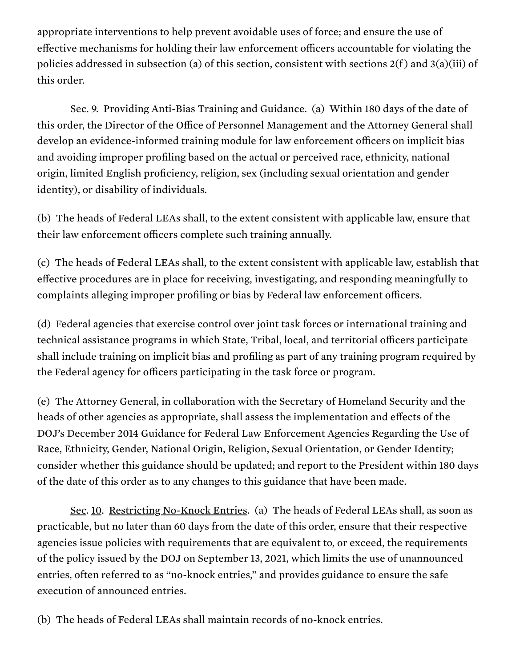appropriate interventions to help prevent avoidable uses of force; and ensure the use of effective mechanisms for holding their law enforcement officers accountable for violating the policies addressed in subsection (a) of this section, consistent with sections  $2(f)$  and  $3(a)(iii)$  of this order.

 Sec. 9. Providing Anti-Bias Training and Guidance. (a) Within 180 days of the date of this order, the Director of the Office of Personnel Management and the Attorney General shall develop an evidence-informed training module for law enforcement officers on implicit bias and avoiding improper profiling based on the actual or perceived race, ethnicity, national origin, limited English proficiency, religion, sex (including sexual orientation and gender identity), or disability of individuals.

(b) The heads of Federal LEAs shall, to the extent consistent with applicable law, ensure that their law enforcement officers complete such training annually.

(c) The heads of Federal LEAs shall, to the extent consistent with applicable law, establish that effective procedures are in place for receiving, investigating, and responding meaningfully to complaints alleging improper profiling or bias by Federal law enforcement officers.

(d) Federal agencies that exercise control over joint task forces or international training and technical assistance programs in which State, Tribal, local, and territorial officers participate shall include training on implicit bias and profiling as part of any training program required by the Federal agency for officers participating in the task force or program.

(e) The Attorney General, in collaboration with the Secretary of Homeland Security and the heads of other agencies as appropriate, shall assess the implementation and effects of the DOJ's December 2014 Guidance for Federal Law Enforcement Agencies Regarding the Use of Race, Ethnicity, Gender, National Origin, Religion, Sexual Orientation, or Gender Identity; consider whether this guidance should be updated; and report to the President within 180 days of the date of this order as to any changes to this guidance that have been made.

 Sec. 10. Restricting No-Knock Entries. (a) The heads of Federal LEAs shall, as soon as practicable, but no later than 60 days from the date of this order, ensure that their respective agencies issue policies with requirements that are equivalent to, or exceed, the requirements of the policy issued by the DOJ on September 13, 2021, which limits the use of unannounced entries, often referred to as "no-knock entries," and provides guidance to ensure the safe execution of announced entries.

(b) The heads of Federal LEAs shall maintain records of no-knock entries.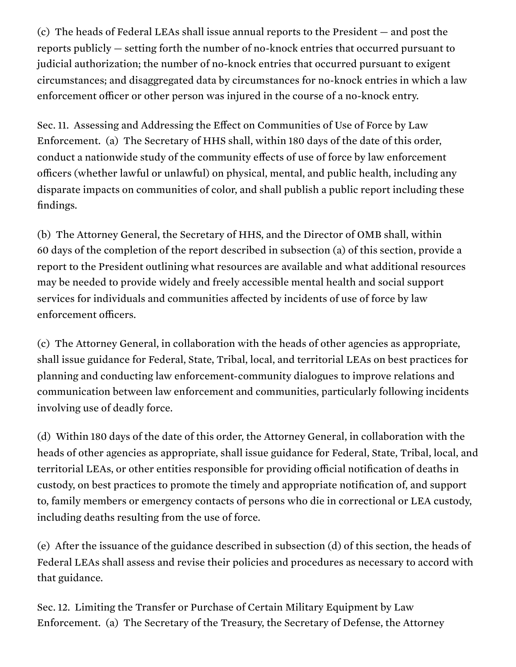(c) The heads of Federal LEAs shall issue annual reports to the President — and post the reports publicly — setting forth the number of no-knock entries that occurred pursuant to judicial authorization; the number of no-knock entries that occurred pursuant to exigent circumstances; and disaggregated data by circumstances for no-knock entries in which a law enforcement officer or other person was injured in the course of a no-knock entry.

Sec. 11. Assessing and Addressing the Effect on Communities of Use of Force by Law Enforcement. (a) The Secretary of HHS shall, within 180 days of the date of this order, conduct a nationwide study of the community effects of use of force by law enforcement officers (whether lawful or unlawful) on physical, mental, and public health, including any disparate impacts on communities of color, and shall publish a public report including these findings.

(b) The Attorney General, the Secretary of HHS, and the Director of OMB shall, within 60 days of the completion of the report described in subsection (a) of this section, provide a report to the President outlining what resources are available and what additional resources may be needed to provide widely and freely accessible mental health and social support services for individuals and communities affected by incidents of use of force by law enforcement officers.

(c) The Attorney General, in collaboration with the heads of other agencies as appropriate, shall issue guidance for Federal, State, Tribal, local, and territorial LEAs on best practices for planning and conducting law enforcement-community dialogues to improve relations and communication between law enforcement and communities, particularly following incidents involving use of deadly force.

(d) Within 180 days of the date of this order, the Attorney General, in collaboration with the heads of other agencies as appropriate, shall issue guidance for Federal, State, Tribal, local, and territorial LEAs, or other entities responsible for providing official notification of deaths in custody, on best practices to promote the timely and appropriate notification of, and support to, family members or emergency contacts of persons who die in correctional or LEA custody, including deaths resulting from the use of force.

(e) After the issuance of the guidance described in subsection (d) of this section, the heads of Federal LEAs shall assess and revise their policies and procedures as necessary to accord with that guidance.

Sec. 12. Limiting the Transfer or Purchase of Certain Military Equipment by Law Enforcement. (a) The Secretary of the Treasury, the Secretary of Defense, the Attorney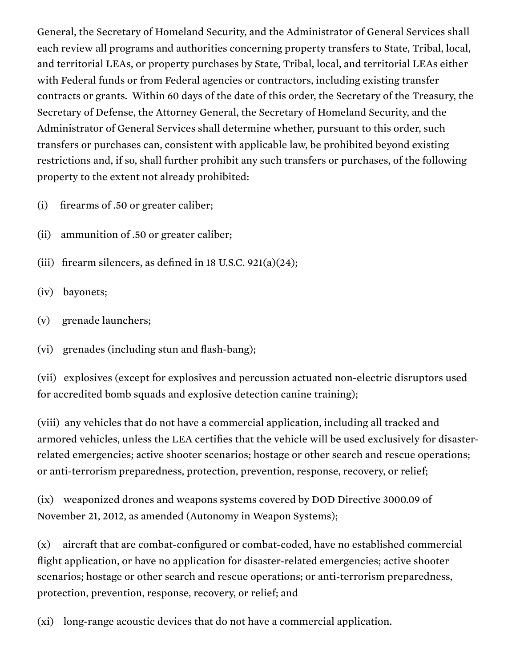General, the Secretary of Homeland Security, and the Administrator of General Services shall each review all programs and authorities concerning property transfers to State, Tribal, local, and territorial LEAs, or property purchases by State, Tribal, local, and territorial LEAs either with Federal funds or from Federal agencies or contractors, including existing transfer contracts or grants. Within 60 days of the date of this order, the Secretary of the Treasury, the Secretary of Defense, the Attorney General, the Secretary of Homeland Security, and the Administrator of General Services shall determine whether, pursuant to this order, such transfers or purchases can, consistent with applicable law, be prohibited beyond existing restrictions and, if so, shall further prohibit any such transfers or purchases, of the following property to the extent not already prohibited:

- (i) firearms of .50 or greater caliber;
- (ii) ammunition of .50 or greater caliber;
- (iii) firearm silencers, as defined in 18 U.S.C.  $921(a)(24)$ ;
- (iv) bayonets;
- (v) grenade launchers;
- (vi) grenades (including stun and flash-bang);

(vii) explosives (except for explosives and percussion actuated non-electric disruptors used for accredited bomb squads and explosive detection canine training);

(viii) any vehicles that do not have a commercial application, including all tracked and armored vehicles, unless the LEA certifies that the vehicle will be used exclusively for disasterrelated emergencies; active shooter scenarios; hostage or other search and rescue operations; or anti-terrorism preparedness, protection, prevention, response, recovery, or relief;

(ix) weaponized drones and weapons systems covered by DOD Directive 3000.09 of November 21, 2012, as amended (Autonomy in Weapon Systems);

(x) aircraft that are combat-configured or combat-coded, have no established commercial flight application, or have no application for disaster-related emergencies; active shooter scenarios; hostage or other search and rescue operations; or anti-terrorism preparedness, protection, prevention, response, recovery, or relief; and

(xi) long-range acoustic devices that do not have a commercial application.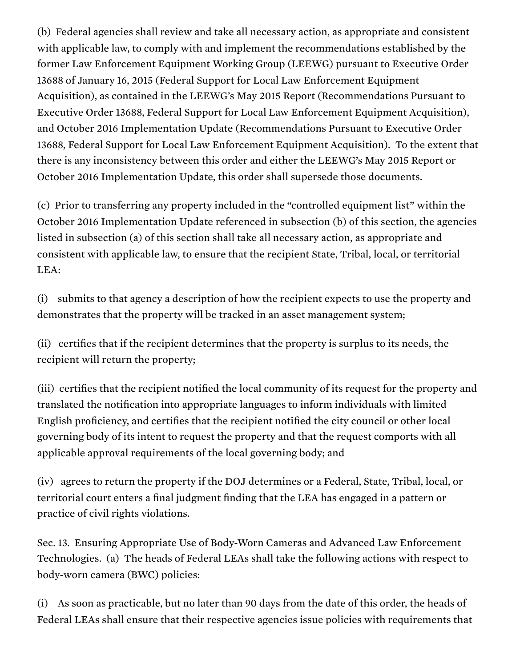(b) Federal agencies shall review and take all necessary action, as appropriate and consistent with applicable law, to comply with and implement the recommendations established by the former Law Enforcement Equipment Working Group (LEEWG) pursuant to Executive Order 13688 of January 16, 2015 (Federal Support for Local Law Enforcement Equipment Acquisition), as contained in the LEEWG's May 2015 Report (Recommendations Pursuant to Executive Order 13688, Federal Support for Local Law Enforcement Equipment Acquisition), and October 2016 Implementation Update (Recommendations Pursuant to Executive Order 13688, Federal Support for Local Law Enforcement Equipment Acquisition). To the extent that there is any inconsistency between this order and either the LEEWG's May 2015 Report or October 2016 Implementation Update, this order shall supersede those documents.

(c) Prior to transferring any property included in the "controlled equipment list" within the October 2016 Implementation Update referenced in subsection (b) of this section, the agencies listed in subsection (a) of this section shall take all necessary action, as appropriate and consistent with applicable law, to ensure that the recipient State, Tribal, local, or territorial LEA:

(i) submits to that agency a description of how the recipient expects to use the property and demonstrates that the property will be tracked in an asset management system;

(ii) certifies that if the recipient determines that the property is surplus to its needs, the recipient will return the property;

(iii) certifies that the recipient notified the local community of its request for the property and translated the notification into appropriate languages to inform individuals with limited English proficiency, and certifies that the recipient notified the city council or other local governing body of its intent to request the property and that the request comports with all applicable approval requirements of the local governing body; and

(iv) agrees to return the property if the DOJ determines or a Federal, State, Tribal, local, or territorial court enters a final judgment finding that the LEA has engaged in a pattern or practice of civil rights violations.

Sec. 13. Ensuring Appropriate Use of Body-Worn Cameras and Advanced Law Enforcement Technologies. (a) The heads of Federal LEAs shall take the following actions with respect to body-worn camera (BWC) policies:

(i) As soon as practicable, but no later than 90 days from the date of this order, the heads of Federal LEAs shall ensure that their respective agencies issue policies with requirements that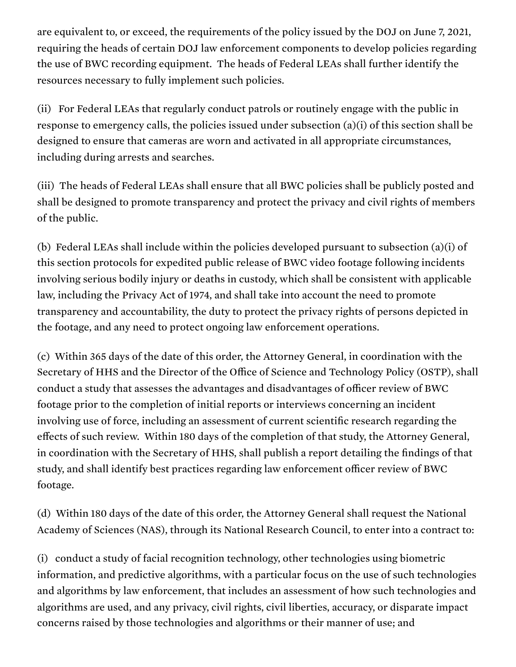are equivalent to, or exceed, the requirements of the policy issued by the DOJ on June 7, 2021, requiring the heads of certain DOJ law enforcement components to develop policies regarding the use of BWC recording equipment. The heads of Federal LEAs shall further identify the resources necessary to fully implement such policies.

(ii) For Federal LEAs that regularly conduct patrols or routinely engage with the public in response to emergency calls, the policies issued under subsection (a)(i) of this section shall be designed to ensure that cameras are worn and activated in all appropriate circumstances, including during arrests and searches.

(iii) The heads of Federal LEAs shall ensure that all BWC policies shall be publicly posted and shall be designed to promote transparency and protect the privacy and civil rights of members of the public.

(b) Federal LEAs shall include within the policies developed pursuant to subsection (a)(i) of this section protocols for expedited public release of BWC video footage following incidents involving serious bodily injury or deaths in custody, which shall be consistent with applicable law, including the Privacy Act of 1974, and shall take into account the need to promote transparency and accountability, the duty to protect the privacy rights of persons depicted in the footage, and any need to protect ongoing law enforcement operations.

(c) Within 365 days of the date of this order, the Attorney General, in coordination with the Secretary of HHS and the Director of the Office of Science and Technology Policy (OSTP), shall conduct a study that assesses the advantages and disadvantages of officer review of BWC footage prior to the completion of initial reports or interviews concerning an incident involving use of force, including an assessment of current scientific research regarding the effects of such review. Within 180 days of the completion of that study, the Attorney General, in coordination with the Secretary of HHS, shall publish a report detailing the findings of that study, and shall identify best practices regarding law enforcement officer review of BWC footage.

(d) Within 180 days of the date of this order, the Attorney General shall request the National Academy of Sciences (NAS), through its National Research Council, to enter into a contract to:

(i) conduct a study of facial recognition technology, other technologies using biometric information, and predictive algorithms, with a particular focus on the use of such technologies and algorithms by law enforcement, that includes an assessment of how such technologies and algorithms are used, and any privacy, civil rights, civil liberties, accuracy, or disparate impact concerns raised by those technologies and algorithms or their manner of use; and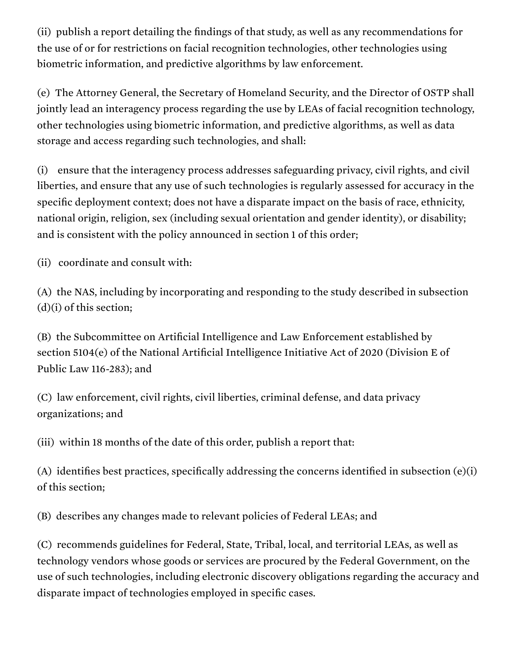(ii) publish a report detailing the findings of that study, as well as any recommendations for the use of or for restrictions on facial recognition technologies, other technologies using biometric information, and predictive algorithms by law enforcement.

(e) The Attorney General, the Secretary of Homeland Security, and the Director of OSTP shall jointly lead an interagency process regarding the use by LEAs of facial recognition technology, other technologies using biometric information, and predictive algorithms, as well as data storage and access regarding such technologies, and shall:

(i) ensure that the interagency process addresses safeguarding privacy, civil rights, and civil liberties, and ensure that any use of such technologies is regularly assessed for accuracy in the specific deployment context; does not have a disparate impact on the basis of race, ethnicity, national origin, religion, sex (including sexual orientation and gender identity), or disability; and is consistent with the policy announced in section 1 of this order;

(ii) coordinate and consult with:

(A) the NAS, including by incorporating and responding to the study described in subsection (d)(i) of this section;

(B) the Subcommittee on Artificial Intelligence and Law Enforcement established by section 5104(e) of the National Artificial Intelligence Initiative Act of 2020 (Division E of Public Law 116-283); and

(C) law enforcement, civil rights, civil liberties, criminal defense, and data privacy organizations; and

(iii) within 18 months of the date of this order, publish a report that:

(A) identifies best practices, specifically addressing the concerns identified in subsection (e)(i) of this section;

(B) describes any changes made to relevant policies of Federal LEAs; and

(C) recommends guidelines for Federal, State, Tribal, local, and territorial LEAs, as well as technology vendors whose goods or services are procured by the Federal Government, on the use of such technologies, including electronic discovery obligations regarding the accuracy and disparate impact of technologies employed in specific cases.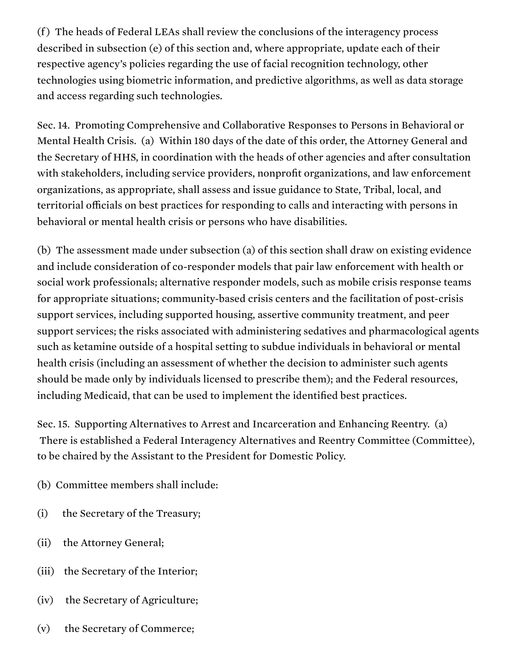(f ) The heads of Federal LEAs shall review the conclusions of the interagency process described in subsection (e) of this section and, where appropriate, update each of their respective agency's policies regarding the use of facial recognition technology, other technologies using biometric information, and predictive algorithms, as well as data storage and access regarding such technologies.

Sec. 14. Promoting Comprehensive and Collaborative Responses to Persons in Behavioral or Mental Health Crisis. (a) Within 180 days of the date of this order, the Attorney General and the Secretary of HHS, in coordination with the heads of other agencies and after consultation with stakeholders, including service providers, nonprofit organizations, and law enforcement organizations, as appropriate, shall assess and issue guidance to State, Tribal, local, and territorial officials on best practices for responding to calls and interacting with persons in behavioral or mental health crisis or persons who have disabilities.

(b) The assessment made under subsection (a) of this section shall draw on existing evidence and include consideration of co-responder models that pair law enforcement with health or social work professionals; alternative responder models, such as mobile crisis response teams for appropriate situations; community-based crisis centers and the facilitation of post-crisis support services, including supported housing, assertive community treatment, and peer support services; the risks associated with administering sedatives and pharmacological agents such as ketamine outside of a hospital setting to subdue individuals in behavioral or mental health crisis (including an assessment of whether the decision to administer such agents should be made only by individuals licensed to prescribe them); and the Federal resources, including Medicaid, that can be used to implement the identified best practices.

Sec. 15. Supporting Alternatives to Arrest and Incarceration and Enhancing Reentry. (a) There is established a Federal Interagency Alternatives and Reentry Committee (Committee), to be chaired by the Assistant to the President for Domestic Policy.

- (b) Committee members shall include:
- (i) the Secretary of the Treasury;
- (ii) the Attorney General;
- (iii) the Secretary of the Interior;
- (iv) the Secretary of Agriculture;
- (v) the Secretary of Commerce;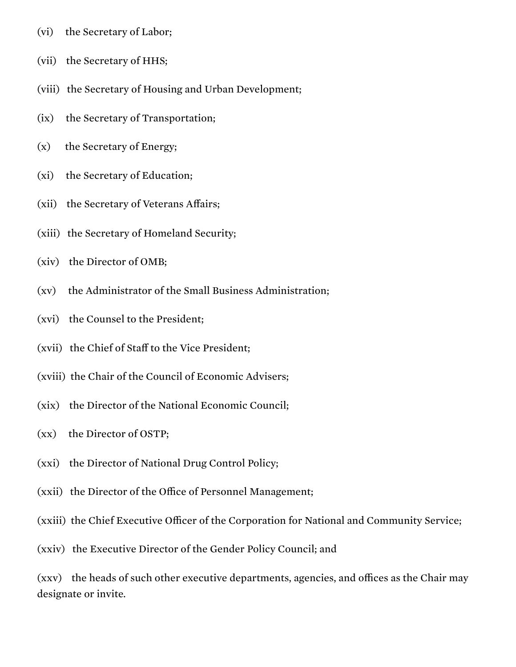- (vi) the Secretary of Labor;
- (vii) the Secretary of HHS;
- (viii) the Secretary of Housing and Urban Development;
- (ix) the Secretary of Transportation;
- $(x)$  the Secretary of Energy;
- (xi) the Secretary of Education;
- (xii) the Secretary of Veterans Affairs;
- (xiii) the Secretary of Homeland Security;
- $(xiv)$  the Director of OMB;
- (xv) the Administrator of the Small Business Administration;
- (xvi) the Counsel to the President;
- (xvii) the Chief of Staff to the Vice President;
- (xviii) the Chair of the Council of Economic Advisers;
- (xix) the Director of the National Economic Council;
- (xx) the Director of OSTP;
- (xxi) the Director of National Drug Control Policy;
- (xxii) the Director of the Office of Personnel Management;
- (xxiii) the Chief Executive Officer of the Corporation for National and Community Service;
- (xxiv) the Executive Director of the Gender Policy Council; and

(xxv) the heads of such other executive departments, agencies, and offices as the Chair may designate or invite.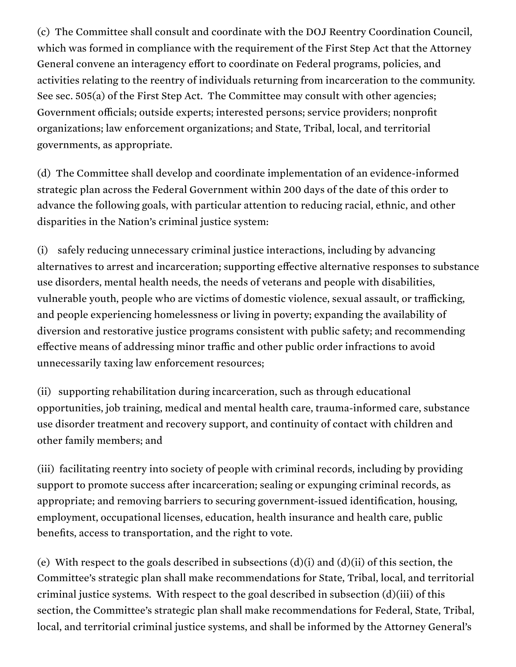(c) The Committee shall consult and coordinate with the DOJ Reentry Coordination Council, which was formed in compliance with the requirement of the First Step Act that the Attorney General convene an interagency effort to coordinate on Federal programs, policies, and activities relating to the reentry of individuals returning from incarceration to the community. See sec. 505(a) of the First Step Act. The Committee may consult with other agencies; Government officials; outside experts; interested persons; service providers; nonprofit organizations; law enforcement organizations; and State, Tribal, local, and territorial governments, as appropriate.

(d) The Committee shall develop and coordinate implementation of an evidence-informed strategic plan across the Federal Government within 200 days of the date of this order to advance the following goals, with particular attention to reducing racial, ethnic, and other disparities in the Nation's criminal justice system:

(i) safely reducing unnecessary criminal justice interactions, including by advancing alternatives to arrest and incarceration; supporting effective alternative responses to substance use disorders, mental health needs, the needs of veterans and people with disabilities, vulnerable youth, people who are victims of domestic violence, sexual assault, or trafficking, and people experiencing homelessness or living in poverty; expanding the availability of diversion and restorative justice programs consistent with public safety; and recommending effective means of addressing minor traffic and other public order infractions to avoid unnecessarily taxing law enforcement resources;

(ii) supporting rehabilitation during incarceration, such as through educational opportunities, job training, medical and mental health care, trauma-informed care, substance use disorder treatment and recovery support, and continuity of contact with children and other family members; and

(iii) facilitating reentry into society of people with criminal records, including by providing support to promote success after incarceration; sealing or expunging criminal records, as appropriate; and removing barriers to securing government-issued identification, housing, employment, occupational licenses, education, health insurance and health care, public benefits, access to transportation, and the right to vote.

(e) With respect to the goals described in subsections  $(d)(i)$  and  $(d)(ii)$  of this section, the Committee's strategic plan shall make recommendations for State, Tribal, local, and territorial criminal justice systems. With respect to the goal described in subsection (d)(iii) of this section, the Committee's strategic plan shall make recommendations for Federal, State, Tribal, local, and territorial criminal justice systems, and shall be informed by the Attorney General's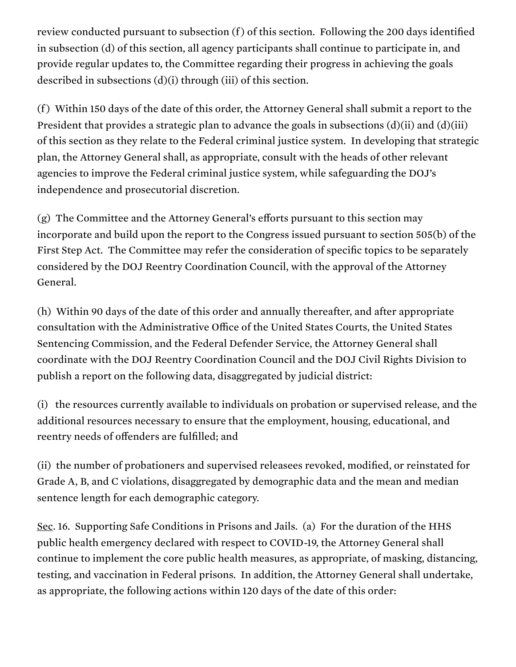review conducted pursuant to subsection (f) of this section. Following the 200 days identified in subsection (d) of this section, all agency participants shall continue to participate in, and provide regular updates to, the Committee regarding their progress in achieving the goals described in subsections (d)(i) through (iii) of this section.

(f) Within 150 days of the date of this order, the Attorney General shall submit a report to the President that provides a strategic plan to advance the goals in subsections (d)(ii) and (d)(iii) of this section as they relate to the Federal criminal justice system. In developing that strategic plan, the Attorney General shall, as appropriate, consult with the heads of other relevant agencies to improve the Federal criminal justice system, while safeguarding the DOJ's independence and prosecutorial discretion.

(g) The Committee and the Attorney General's efforts pursuant to this section may incorporate and build upon the report to the Congress issued pursuant to section 505(b) of the First Step Act. The Committee may refer the consideration of specific topics to be separately considered by the DOJ Reentry Coordination Council, with the approval of the Attorney General.

(h) Within 90 days of the date of this order and annually thereafter, and after appropriate consultation with the Administrative Office of the United States Courts, the United States Sentencing Commission, and the Federal Defender Service, the Attorney General shall coordinate with the DOJ Reentry Coordination Council and the DOJ Civil Rights Division to publish a report on the following data, disaggregated by judicial district:

(i) the resources currently available to individuals on probation or supervised release, and the additional resources necessary to ensure that the employment, housing, educational, and reentry needs of offenders are fulfilled; and

(ii) the number of probationers and supervised releasees revoked, modified, or reinstated for Grade A, B, and C violations, disaggregated by demographic data and the mean and median sentence length for each demographic category.

Sec. 16. Supporting Safe Conditions in Prisons and Jails. (a) For the duration of the HHS public health emergency declared with respect to COVID-19, the Attorney General shall continue to implement the core public health measures, as appropriate, of masking, distancing, testing, and vaccination in Federal prisons. In addition, the Attorney General shall undertake, as appropriate, the following actions within 120 days of the date of this order: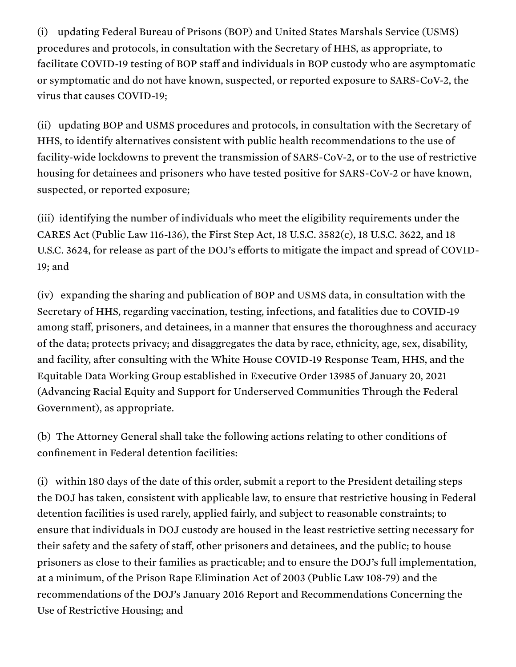(i) updating Federal Bureau of Prisons (BOP) and United States Marshals Service (USMS) procedures and protocols, in consultation with the Secretary of HHS, as appropriate, to facilitate COVID-19 testing of BOP staff and individuals in BOP custody who are asymptomatic or symptomatic and do not have known, suspected, or reported exposure to SARS-CoV-2, the virus that causes COVID-19;

(ii) updating BOP and USMS procedures and protocols, in consultation with the Secretary of HHS, to identify alternatives consistent with public health recommendations to the use of facility-wide lockdowns to prevent the transmission of SARS-CoV-2, or to the use of restrictive housing for detainees and prisoners who have tested positive for SARS-CoV-2 or have known, suspected, or reported exposure;

(iii) identifying the number of individuals who meet the eligibility requirements under the CARES Act (Public Law 116-136), the First Step Act, 18 U.S.C. 3582(c), 18 U.S.C. 3622, and 18 U.S.C. 3624, for release as part of the DOJ's efforts to mitigate the impact and spread of COVID-19; and

(iv) expanding the sharing and publication of BOP and USMS data, in consultation with the Secretary of HHS, regarding vaccination, testing, infections, and fatalities due to COVID-19 among staff, prisoners, and detainees, in a manner that ensures the thoroughness and accuracy of the data; protects privacy; and disaggregates the data by race, ethnicity, age, sex, disability, and facility, after consulting with the White House COVID-19 Response Team, HHS, and the Equitable Data Working Group established in Executive Order 13985 of January 20, 2021 (Advancing Racial Equity and Support for Underserved Communities Through the Federal Government), as appropriate.

(b) The Attorney General shall take the following actions relating to other conditions of confinement in Federal detention facilities:

(i) within 180 days of the date of this order, submit a report to the President detailing steps the DOJ has taken, consistent with applicable law, to ensure that restrictive housing in Federal detention facilities is used rarely, applied fairly, and subject to reasonable constraints; to ensure that individuals in DOJ custody are housed in the least restrictive setting necessary for their safety and the safety of staff, other prisoners and detainees, and the public; to house prisoners as close to their families as practicable; and to ensure the DOJ's full implementation, at a minimum, of the Prison Rape Elimination Act of 2003 (Public Law 108-79) and the recommendations of the DOJ's January 2016 Report and Recommendations Concerning the Use of Restrictive Housing; and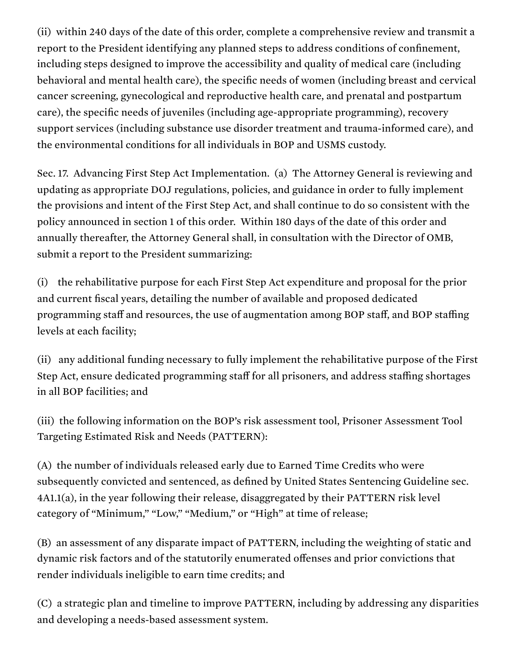(ii) within 240 days of the date of this order, complete a comprehensive review and transmit a report to the President identifying any planned steps to address conditions of confinement, including steps designed to improve the accessibility and quality of medical care (including behavioral and mental health care), the specific needs of women (including breast and cervical cancer screening, gynecological and reproductive health care, and prenatal and postpartum care), the specific needs of juveniles (including age-appropriate programming), recovery support services (including substance use disorder treatment and trauma-informed care), and the environmental conditions for all individuals in BOP and USMS custody.

Sec. 17. Advancing First Step Act Implementation. (a) The Attorney General is reviewing and updating as appropriate DOJ regulations, policies, and guidance in order to fully implement the provisions and intent of the First Step Act, and shall continue to do so consistent with the policy announced in section 1 of this order. Within 180 days of the date of this order and annually thereafter, the Attorney General shall, in consultation with the Director of OMB, submit a report to the President summarizing:

(i) the rehabilitative purpose for each First Step Act expenditure and proposal for the prior and current fiscal years, detailing the number of available and proposed dedicated programming staff and resources, the use of augmentation among BOP staff, and BOP staffing levels at each facility;

(ii) any additional funding necessary to fully implement the rehabilitative purpose of the First Step Act, ensure dedicated programming staff for all prisoners, and address staffing shortages in all BOP facilities; and

(iii) the following information on the BOP's risk assessment tool, Prisoner Assessment Tool Targeting Estimated Risk and Needs (PATTERN):

(A) the number of individuals released early due to Earned Time Credits who were subsequently convicted and sentenced, as defined by United States Sentencing Guideline sec. 4A1.1(a), in the year following their release, disaggregated by their PATTERN risk level category of "Minimum," "Low," "Medium," or "High" at time of release;

(B) an assessment of any disparate impact of PATTERN, including the weighting of static and dynamic risk factors and of the statutorily enumerated offenses and prior convictions that render individuals ineligible to earn time credits; and

(C) a strategic plan and timeline to improve PATTERN, including by addressing any disparities and developing a needs-based assessment system.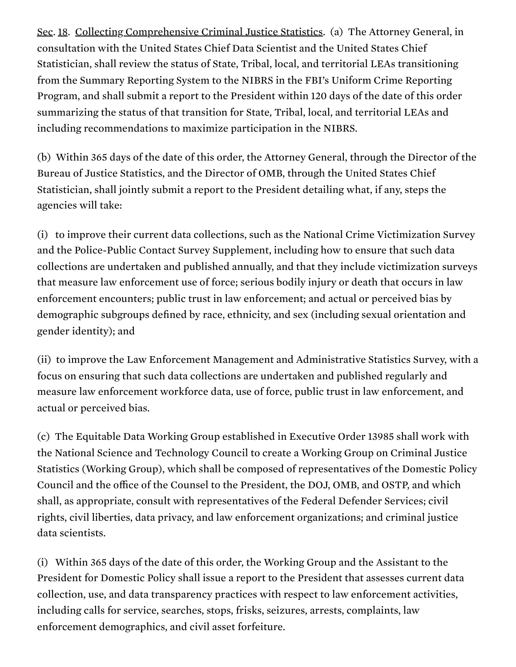Sec. 18. Collecting Comprehensive Criminal Justice Statistics. (a) The Attorney General, in consultation with the United States Chief Data Scientist and the United States Chief Statistician, shall review the status of State, Tribal, local, and territorial LEAs transitioning from the Summary Reporting System to the NIBRS in the FBI's Uniform Crime Reporting Program, and shall submit a report to the President within 120 days of the date of this order summarizing the status of that transition for State, Tribal, local, and territorial LEAs and including recommendations to maximize participation in the NIBRS.

(b) Within 365 days of the date of this order, the Attorney General, through the Director of the Bureau of Justice Statistics, and the Director of OMB, through the United States Chief Statistician, shall jointly submit a report to the President detailing what, if any, steps the agencies will take:

(i) to improve their current data collections, such as the National Crime Victimization Survey and the Police-Public Contact Survey Supplement, including how to ensure that such data collections are undertaken and published annually, and that they include victimization surveys that measure law enforcement use of force; serious bodily injury or death that occurs in law enforcement encounters; public trust in law enforcement; and actual or perceived bias by demographic subgroups defined by race, ethnicity, and sex (including sexual orientation and gender identity); and

(ii) to improve the Law Enforcement Management and Administrative Statistics Survey, with a focus on ensuring that such data collections are undertaken and published regularly and measure law enforcement workforce data, use of force, public trust in law enforcement, and actual or perceived bias.

(c) The Equitable Data Working Group established in Executive Order 13985 shall work with the National Science and Technology Council to create a Working Group on Criminal Justice Statistics (Working Group), which shall be composed of representatives of the Domestic Policy Council and the office of the Counsel to the President, the DOJ, OMB, and OSTP, and which shall, as appropriate, consult with representatives of the Federal Defender Services; civil rights, civil liberties, data privacy, and law enforcement organizations; and criminal justice data scientists.

(i) Within 365 days of the date of this order, the Working Group and the Assistant to the President for Domestic Policy shall issue a report to the President that assesses current data collection, use, and data transparency practices with respect to law enforcement activities, including calls for service, searches, stops, frisks, seizures, arrests, complaints, law enforcement demographics, and civil asset forfeiture.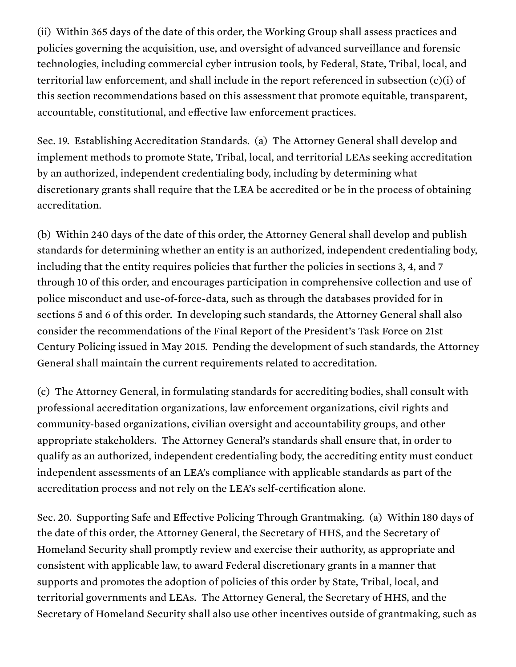(ii) Within 365 days of the date of this order, the Working Group shall assess practices and policies governing the acquisition, use, and oversight of advanced surveillance and forensic technologies, including commercial cyber intrusion tools, by Federal, State, Tribal, local, and territorial law enforcement, and shall include in the report referenced in subsection (c)(i) of this section recommendations based on this assessment that promote equitable, transparent, accountable, constitutional, and effective law enforcement practices.

Sec. 19. Establishing Accreditation Standards. (a) The Attorney General shall develop and implement methods to promote State, Tribal, local, and territorial LEAs seeking accreditation by an authorized, independent credentialing body, including by determining what discretionary grants shall require that the LEA be accredited or be in the process of obtaining accreditation.

(b) Within 240 days of the date of this order, the Attorney General shall develop and publish standards for determining whether an entity is an authorized, independent credentialing body, including that the entity requires policies that further the policies in sections 3, 4, and 7 through 10 of this order, and encourages participation in comprehensive collection and use of police misconduct and use-of-force-data, such as through the databases provided for in sections 5 and 6 of this order. In developing such standards, the Attorney General shall also consider the recommendations of the Final Report of the President's Task Force on 21st Century Policing issued in May 2015. Pending the development of such standards, the Attorney General shall maintain the current requirements related to accreditation.

(c) The Attorney General, in formulating standards for accrediting bodies, shall consult with professional accreditation organizations, law enforcement organizations, civil rights and community-based organizations, civilian oversight and accountability groups, and other appropriate stakeholders. The Attorney General's standards shall ensure that, in order to qualify as an authorized, independent credentialing body, the accrediting entity must conduct independent assessments of an LEA's compliance with applicable standards as part of the accreditation process and not rely on the LEA's self-certification alone.

Sec. 20. Supporting Safe and Effective Policing Through Grantmaking. (a) Within 180 days of the date of this order, the Attorney General, the Secretary of HHS, and the Secretary of Homeland Security shall promptly review and exercise their authority, as appropriate and consistent with applicable law, to award Federal discretionary grants in a manner that supports and promotes the adoption of policies of this order by State, Tribal, local, and territorial governments and LEAs. The Attorney General, the Secretary of HHS, and the Secretary of Homeland Security shall also use other incentives outside of grantmaking, such as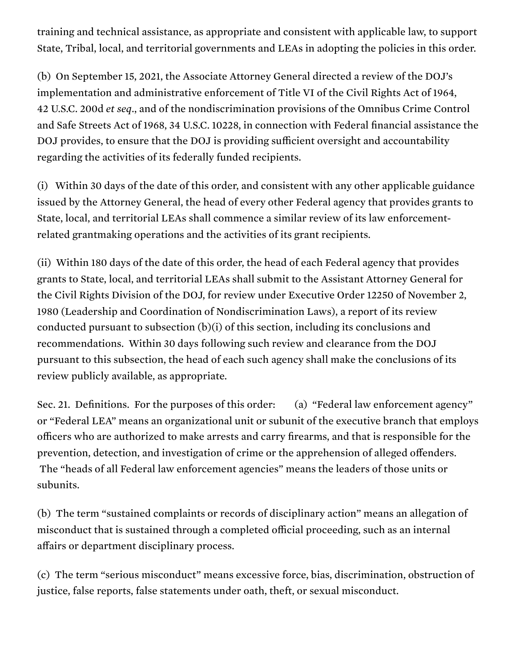training and technical assistance, as appropriate and consistent with applicable law, to support State, Tribal, local, and territorial governments and LEAs in adopting the policies in this order.

(b) On September 15, 2021, the Associate Attorney General directed a review of the DOJ's implementation and administrative enforcement of Title VI of the Civil Rights Act of 1964, 42 U.S.C. 200d *et seq*., and of the nondiscrimination provisions of the Omnibus Crime Control and Safe Streets Act of 1968, 34 U.S.C. 10228, in connection with Federal financial assistance the DOJ provides, to ensure that the DOJ is providing sufficient oversight and accountability regarding the activities of its federally funded recipients.

(i) Within 30 days of the date of this order, and consistent with any other applicable guidance issued by the Attorney General, the head of every other Federal agency that provides grants to State, local, and territorial LEAs shall commence a similar review of its law enforcementrelated grantmaking operations and the activities of its grant recipients.

(ii) Within 180 days of the date of this order, the head of each Federal agency that provides grants to State, local, and territorial LEAs shall submit to the Assistant Attorney General for the Civil Rights Division of the DOJ, for review under Executive Order 12250 of November 2, 1980 (Leadership and Coordination of Nondiscrimination Laws), a report of its review conducted pursuant to subsection (b)(i) of this section, including its conclusions and recommendations. Within 30 days following such review and clearance from the DOJ pursuant to this subsection, the head of each such agency shall make the conclusions of its review publicly available, as appropriate.

Sec. 21. Definitions. For the purposes of this order: (a) "Federal law enforcement agency" or "Federal LEA" means an organizational unit or subunit of the executive branch that employs officers who are authorized to make arrests and carry firearms, and that is responsible for the prevention, detection, and investigation of crime or the apprehension of alleged offenders. The "heads of all Federal law enforcement agencies" means the leaders of those units or subunits.

(b) The term "sustained complaints or records of disciplinary action" means an allegation of misconduct that is sustained through a completed official proceeding, such as an internal affairs or department disciplinary process.

(c) The term "serious misconduct" means excessive force, bias, discrimination, obstruction of justice, false reports, false statements under oath, theft, or sexual misconduct.